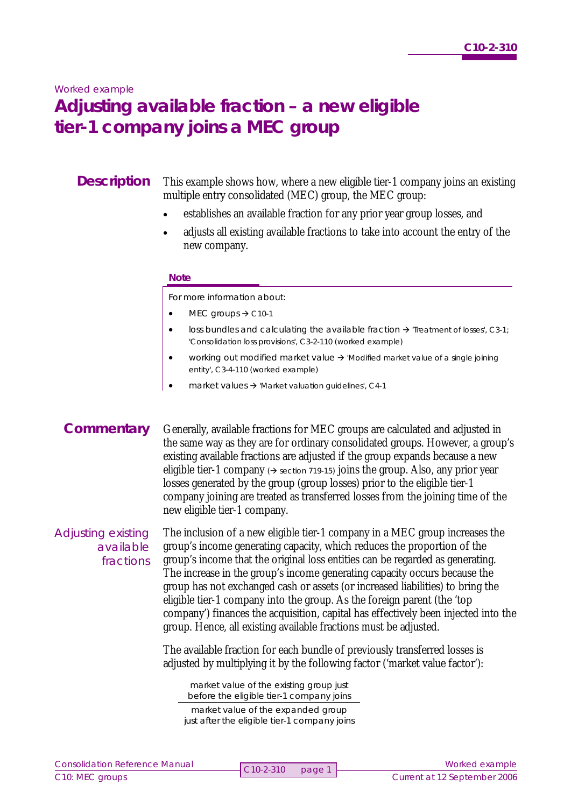### *Worked example*

# **Adjusting available fraction – a new eligible tier-1 company joins a MEC group**

# **Description**

This example shows how, where a new eligible tier-1 company joins an existing multiple entry consolidated (MEC) group, the MEC group:

- establishes an available fraction for any prior year group losses, and
- adjusts all existing available fractions to take into account the entry of the new company.

#### **Note**

For more information about:

- $\bullet$  MEC groups  $\rightarrow$  C10-1
- loss bundles and calculating the available fraction  $\rightarrow$  'Treatment of losses', C3-1; 'Consolidation loss provisions', C3-2-110 (worked example)
- working out modified market value  $\rightarrow$  'Modified market value of a single joining entity', C3-4-110 (worked example)
- market values  $\rightarrow$  'Market valuation guidelines', C4-1

# **Commentary**

Generally, available fractions for MEC groups are calculated and adjusted in the same way as they are for ordinary consolidated groups. However, a group's existing available fractions are adjusted if the group expands because a new eligible tier-1 company  $\rightarrow$  section 719-15) joins the group. Also, any prior year losses generated by the group (group losses) prior to the eligible tier-1 company joining are treated as transferred losses from the joining time of the new eligible tier-1 company.

Adjusting existing available fractions The inclusion of a new eligible tier-1 company in a MEC group increases the group's income generating capacity, which reduces the proportion of the group's income that the original loss entities can be regarded as generating. The increase in the group's income generating capacity occurs because the group has not exchanged cash or assets (or increased liabilities) to bring the eligible tier-1 company into the group. As the foreign parent (the 'top company') finances the acquisition, capital has effectively been injected into the group. Hence, all existing available fractions must be adjusted.

The available fraction for each bundle of previously transferred losses is adjusted by multiplying it by the following factor ('market value factor'):

market value of the existing group just before the eligible tier-1 company joins

market value of the expanded group just after the eligible tier-1 company joins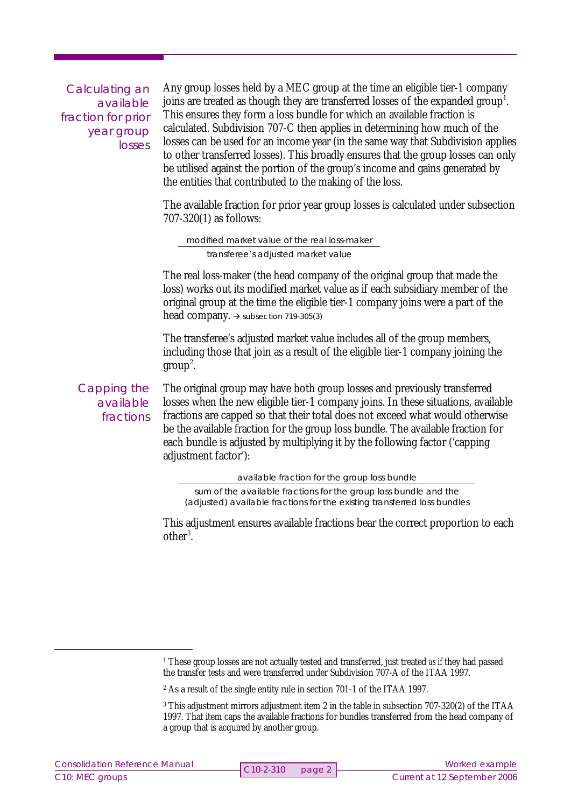Calculating an available fraction for prior year group losses

Any group losses held by a MEC group at the time an eligible tier-1 company joins are treated as though they are transferred losses of the expanded group<sup>1</sup>. This ensures they form a loss bundle for which an available fraction is calculated. Subdivision 707-C then applies in determining how much of the losses can be used for an income year (in the same way that Subdivision applies to other transferred losses). This broadly ensures that the group losses can only be utilised against the portion of the group's income and gains generated by the entities that contributed to the making of the loss.

The available fraction for prior year group losses is calculated under subsection 707-320(1) as follows:

modified market value of the real loss-maker transferee's adjusted market value

The real loss-maker (the head company of the original group that made the loss) works out its modified market value as if each subsidiary member of the original group at the time the eligible tier-1 company joins were a part of the head company.  $\rightarrow$  subsection 719-305(3)

The transferee's adjusted market value includes all of the group members, including those that join as a result of the eligible tier-1 company joining the  $group<sup>2</sup>$ .

Capping the available fractions

The original group may have both group losses and previously transferred losses when the new eligible tier-1 company joins. In these situations, available fractions are capped so that their total does not exceed what would otherwise be the available fraction for the group loss bundle. The available fraction for each bundle is adjusted by multiplying it by the following factor ('capping adjustment factor'):

available fraction for the group loss bundle

sum of the available fractions for the group loss bundle and the (adjusted) available fractions for the existing transferred loss bundles

This adjustment ensures available fractions bear the correct proportion to each other<sup>3</sup>.

<sup>&</sup>lt;sup>1</sup> These group losses are not actually tested and transferred, just treated *as if* they had passed the transfer tests and were transferred under Subdivision 707-A of the ITAA 1997.

<sup>2</sup> As a result of the single entity rule in section 701-1 of the ITAA 1997.

<sup>3</sup> This adjustment mirrors adjustment item 2 in the table in subsection 707-320(2) of the ITAA 1997. That item caps the available fractions for bundles transferred from the head company of a group that is acquired by another group.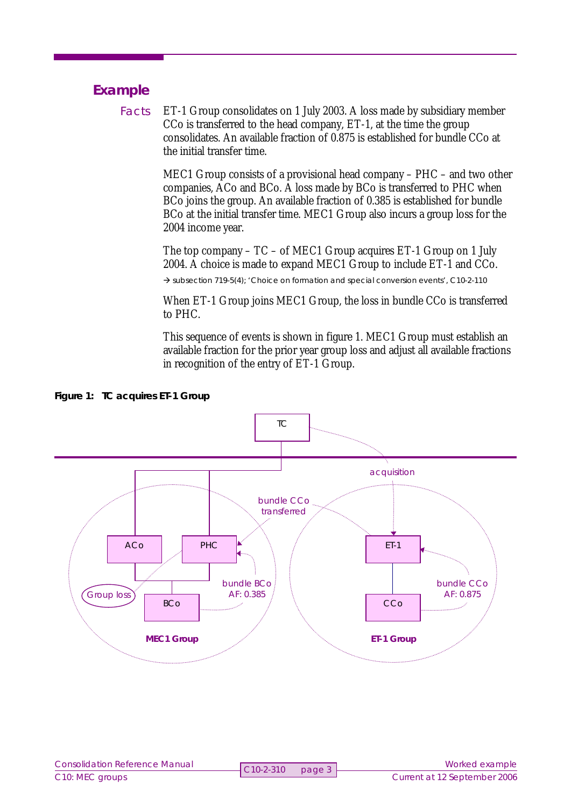# **Example**

ET-1 Group consolidates on 1 July 2003. A loss made by subsidiary member CCo is transferred to the head company, ET-1, at the time the group consolidates. An available fraction of 0.875 is established for bundle CCo at the initial transfer time. Facts

> MEC1 Group consists of a provisional head company – PHC – and two other companies, ACo and BCo. A loss made by BCo is transferred to PHC when BCo joins the group. An available fraction of 0.385 is established for bundle BCo at the initial transfer time. MEC1 Group also incurs a group loss for the 2004 income year.

The top company – TC – of MEC1 Group acquires ET-1 Group on 1 July 2004. A choice is made to expand MEC1 Group to include ET-1 and CCo.

 $\rightarrow$  subsection 719-5(4); 'Choice on formation and special conversion events', C10-2-110

When ET-1 Group joins MEC1 Group, the loss in bundle CCo is transferred to PHC.

This sequence of events is shown in figure 1. MEC1 Group must establish an available fraction for the prior year group loss and adjust all available fractions in recognition of the entry of ET-1 Group.



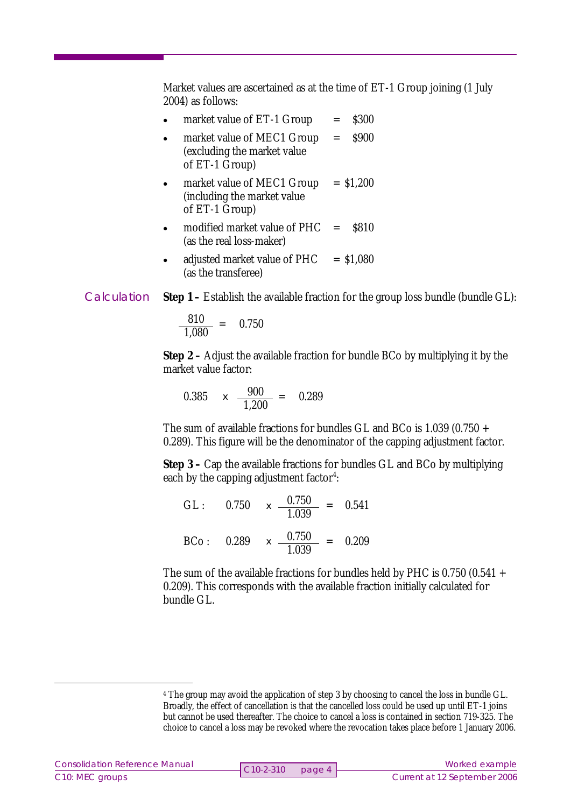Market values are ascertained as at the time of ET-1 Group joining (1 July 2004) as follows:

- market value of  $ET-1$  Group = \$300 • market value of MEC1 Group = \$900 (excluding the market value of ET-1 Group)
- market value of MEC1 Group  $= $1,200$ (including the market value of ET-1 Group)
- modified market value of PHC  $=$  \$810 (as the real loss-maker)
- adjusted market value of  $PHC = $1,080$ (as the transferee)

**Step 1** – Establish the available fraction for the group loss bundle (bundle GL): **Calculation** 

$$
\frac{810}{1,080} = 0.750
$$

**Step 2** – Adjust the available fraction for bundle BCo by multiplying it by the market value factor:

0.385  $\times \frac{900}{1.986}$ 1,200  $= 0.289$ 

The sum of available fractions for bundles GL and BCo is  $1.039$  (0.750 + 0.289). This figure will be the denominator of the capping adjustment factor.

**Step 3** – Cap the available fractions for bundles GL and BCo by multiplying each by the capping adjustment factor<sup>4</sup>:

|  | GL: $0.750 \times \frac{0.750}{1.039} = 0.541$           |  |
|--|----------------------------------------------------------|--|
|  | BCo: $0.289 \times \frac{0.750}{0.750} = 0.209$<br>1.039 |  |

The sum of the available fractions for bundles held by PHC is  $0.750$  (0.541 + 0.209). This corresponds with the available fraction initially calculated for bundle GL.

<sup>4</sup> The group may avoid the application of step 3 by choosing to cancel the loss in bundle GL. Broadly, the effect of cancellation is that the cancelled loss could be used up until ET-1 joins but cannot be used thereafter. The choice to cancel a loss is contained in section 719-325. The choice to cancel a loss may be revoked where the revocation takes place before 1 January 2006.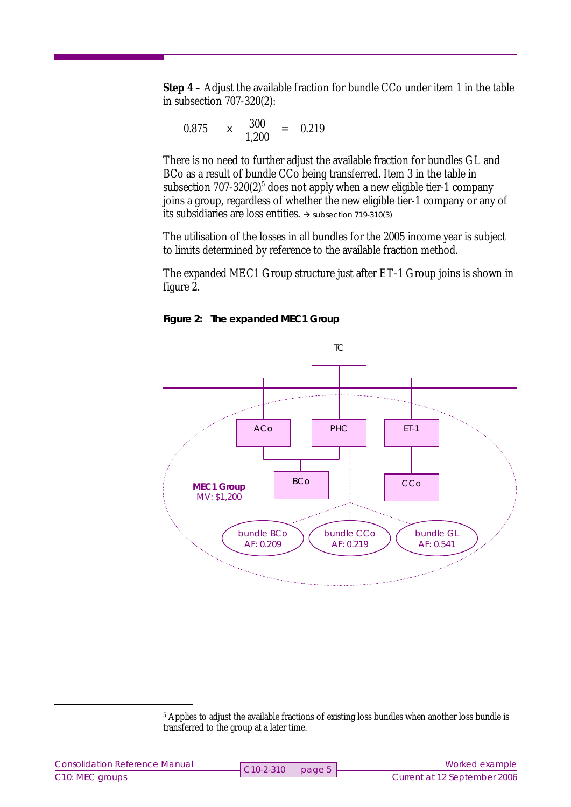**Step 4** – Adjust the available fraction for bundle CCo under item 1 in the table in subsection 707-320(2):

$$
0.875 \qquad x \quad \frac{300}{1,200} \ = \quad 0.219
$$

There is no need to further adjust the available fraction for bundles GL and BCo as a result of bundle CCo being transferred. Item 3 in the table in subsection  $707-320(2)^5$  does not apply when a new eligible tier-1 company joins a group, regardless of whether the new eligible tier-1 company or any of its subsidiaries are loss entities.  $\rightarrow$  subsection 719-310(3)

The utilisation of the losses in all bundles for the 2005 income year is subject to limits determined by reference to the available fraction method.

The expanded MEC1 Group structure just after ET-1 Group joins is shown in figure 2.





<sup>&</sup>lt;sup>5</sup> Applies to adjust the available fractions of existing loss bundles when another loss bundle is transferred to the group at a later time.